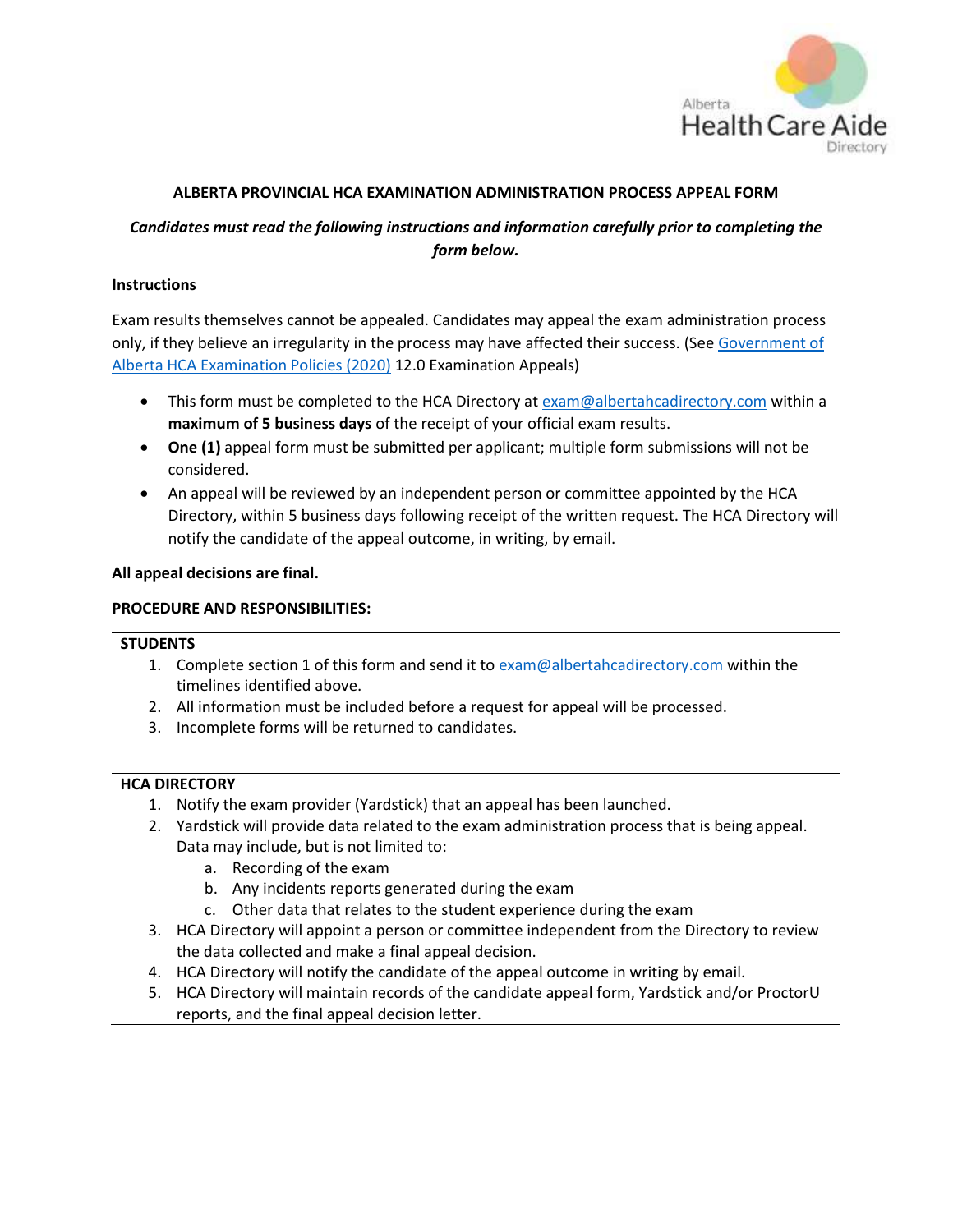

## **ALBERTA PROVINCIAL HCA EXAMINATION ADMINISTRATION PROCESS APPEAL FORM**

## *Candidates must read the following instructions and information carefully prior to completing the form below.*

### **Instructions**

Exam results themselves cannot be appealed. Candidates may appeal the exam administration process only, if they believe an irregularity in the process may have affected their success. (Se[e Government](https://www.albertahcadirectory.com/wp-content/uploads/2020/07/Government-of-Alberta-Provincial-HCA-Examination-Policies-2020.pdf) of Alberta HCA [Examination](https://www.albertahcadirectory.com/wp-content/uploads/2020/07/Government-of-Alberta-Provincial-HCA-Examination-Policies-2020.pdf) Policies (2020) 12.0 Examination Appeals)

- This form must be completed to the HCA Directory at [exam@albertahcadirectory.com](mailto:exam@albertahcadirectory.com) within a **maximum of 5 business days** of the receipt of your official exam results.
- **One (1)** appeal form must be submitted per applicant; multiple form submissions will not be considered.
- An appeal will be reviewed by an independent person or committee appointed by the HCA Directory, within 5 business days following receipt of the written request. The HCA Directory will notify the candidate of the appeal outcome, in writing, by email.

### **All appeal decisions are final.**

### **PROCEDURE AND RESPONSIBILITIES:**

#### **STUDENTS**

- 1. Complete section 1 of this form and send it t[o exam@albertahcadirectory.com](mailto:exam@albertahcadirectory.com) within the timelines identified above.
- 2. All information must be included before a request for appeal will be processed.
- 3. Incomplete forms will be returned to candidates.

#### **HCA DIRECTORY**

- 1. Notify the exam provider (Yardstick) that an appeal has been launched.
- 2. Yardstick will provide data related to the exam administration process that is being appeal. Data may include, but is not limited to:
	- a. Recording of the exam
	- b. Any incidents reports generated during the exam
	- c. Other data that relates to the student experience during the exam
- 3. HCA Directory will appoint a person or committee independent from the Directory to review the data collected and make a final appeal decision.
- 4. HCA Directory will notify the candidate of the appeal outcome in writing by email.
- 5. HCA Directory will maintain records of the candidate appeal form, Yardstick and/or ProctorU reports, and the final appeal decision letter.